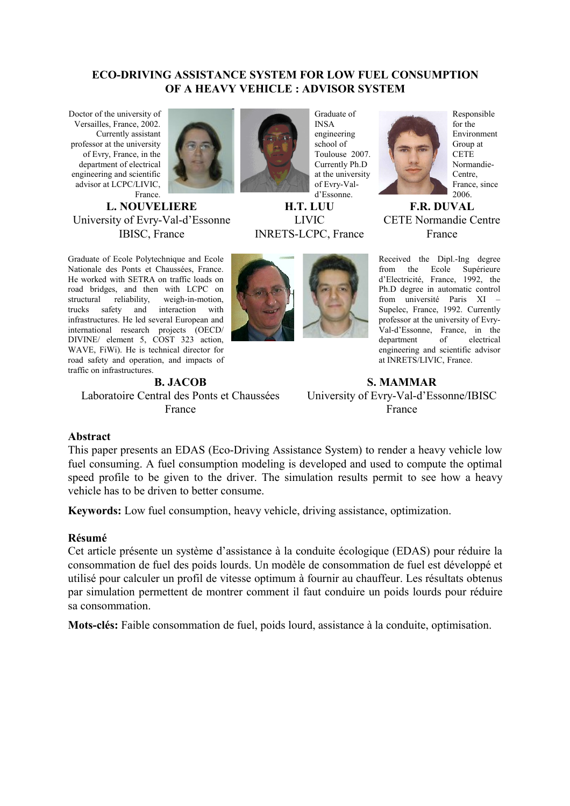#### **ECO-DRIVING ASSISTANCE SYSTEM FOR LOW FUEL CONSUMPTION OF A HEAVY VEHICLE : ADVISOR SYSTEM**

Doctor of the university of Versailles, France, 2002. Currently assistant professor at the university of Evry, France, in the department of electrical engineering and scientific advisor at LCPC/LIVIC, France.

**L. NOUVELIERE** University of Evry-Val-d'Essonne IBISC, France

Graduate of Ecole Polytechnique and Ecole Nationale des Ponts et Chaussées, France. He worked with SETRA on traffic loads on road bridges, and then with LCPC on structural reliability, weigh-in-motion, trucks safety and interaction with infrastructures. He led several European and international research projects (OECD/ DIVINE/ element 5, COST 323 action, WAVE, FiWi). He is technical director for road safety and operation, and impacts of traffic on infrastructures.

**B. JACOB** Laboratoire Central des Ponts et Chaussées France



Graduate of INSA engineering school of Toulouse 2007. Currently Ph.D at the university of Evry-Vald'Essonne.

**H.T. LUU** LIVIC INRETS-LCPC, France



Responsible for the Environment Group at **CETE** Normandie-Centre, France, since 2006.

**F.R. DUVAL** CETE Normandie Centre France

Received the Dipl.-Ing degree from the Ecole Supérieure d'Electricité, France, 1992, the Ph.D degree in automatic control from université Paris XI – Supelec, France, 1992. Currently professor at the university of Evry-Val-d'Essonne, France, in the department of electrical engineering and scientific advisor at INRETS/LIVIC, France.

# **S. MAMMAR** University of Evry-Val-d'Essonne/IBISC France

#### **Abstract**

This paper presents an EDAS (Eco-Driving Assistance System) to render a heavy vehicle low fuel consuming. A fuel consumption modeling is developed and used to compute the optimal speed profile to be given to the driver. The simulation results permit to see how a heavy vehicle has to be driven to better consume.

**Keywords:** Low fuel consumption, heavy vehicle, driving assistance, optimization.

#### **Résumé**

Cet article présente un système d'assistance à la conduite écologique (EDAS) pour réduire la consommation de fuel des poids lourds. Un modèle de consommation de fuel est développé et utilisé pour calculer un profil de vitesse optimum à fournir au chauffeur. Les résultats obtenus par simulation permettent de montrer comment il faut conduire un poids lourds pour réduire sa consommation.

**Mots-clés:** Faible consommation de fuel, poids lourd, assistance à la conduite, optimisation.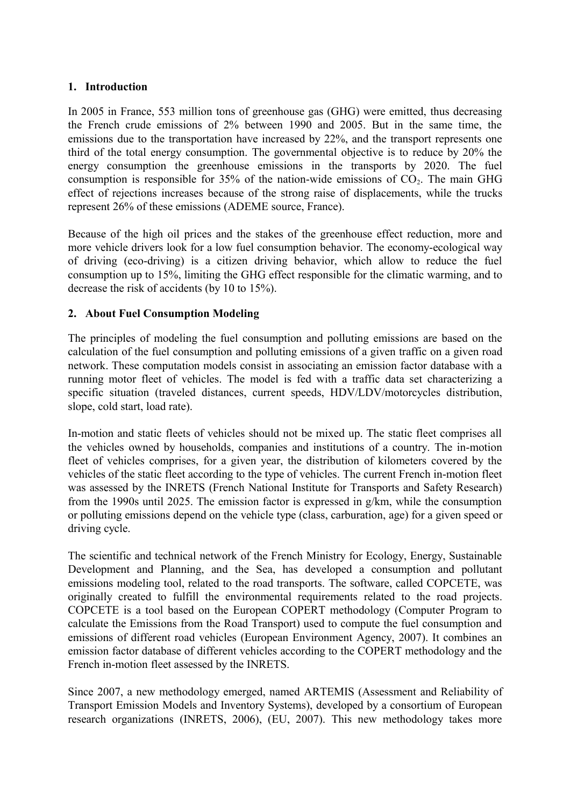### **1. Introduction**

In 2005 in France, 553 million tons of greenhouse gas (GHG) were emitted, thus decreasing the French crude emissions of 2% between 1990 and 2005. But in the same time, the emissions due to the transportation have increased by 22%, and the transport represents one third of the total energy consumption. The governmental objective is to reduce by 20% the energy consumption the greenhouse emissions in the transports by 2020. The fuel consumption is responsible for  $35\%$  of the nation-wide emissions of  $CO<sub>2</sub>$ . The main GHG effect of rejections increases because of the strong raise of displacements, while the trucks represent 26% of these emissions (ADEME source, France).

Because of the high oil prices and the stakes of the greenhouse effect reduction, more and more vehicle drivers look for a low fuel consumption behavior. The economy-ecological way of driving (eco-driving) is a citizen driving behavior, which allow to reduce the fuel consumption up to 15%, limiting the GHG effect responsible for the climatic warming, and to decrease the risk of accidents (by 10 to 15%).

### **2. About Fuel Consumption Modeling**

The principles of modeling the fuel consumption and polluting emissions are based on the calculation of the fuel consumption and polluting emissions of a given traffic on a given road network. These computation models consist in associating an emission factor database with a running motor fleet of vehicles. The model is fed with a traffic data set characterizing a specific situation (traveled distances, current speeds, HDV/LDV/motorcycles distribution, slope, cold start, load rate).

In-motion and static fleets of vehicles should not be mixed up. The static fleet comprises all the vehicles owned by households, companies and institutions of a country. The in-motion fleet of vehicles comprises, for a given year, the distribution of kilometers covered by the vehicles of the static fleet according to the type of vehicles. The current French in-motion fleet was assessed by the INRETS (French National Institute for Transports and Safety Research) from the 1990s until 2025. The emission factor is expressed in g/km, while the consumption or polluting emissions depend on the vehicle type (class, carburation, age) for a given speed or driving cycle.

The scientific and technical network of the French Ministry for Ecology, Energy, Sustainable Development and Planning, and the Sea, has developed a consumption and pollutant emissions modeling tool, related to the road transports. The software, called COPCETE, was originally created to fulfill the environmental requirements related to the road projects. COPCETE is a tool based on the European COPERT methodology (Computer Program to calculate the Emissions from the Road Transport) used to compute the fuel consumption and emissions of different road vehicles (European Environment Agency, 2007). It combines an emission factor database of different vehicles according to the COPERT methodology and the French in-motion fleet assessed by the INRETS.

Since 2007, a new methodology emerged, named ARTEMIS (Assessment and Reliability of Transport Emission Models and Inventory Systems), developed by a consortium of European research organizations (INRETS, 2006), (EU, 2007). This new methodology takes more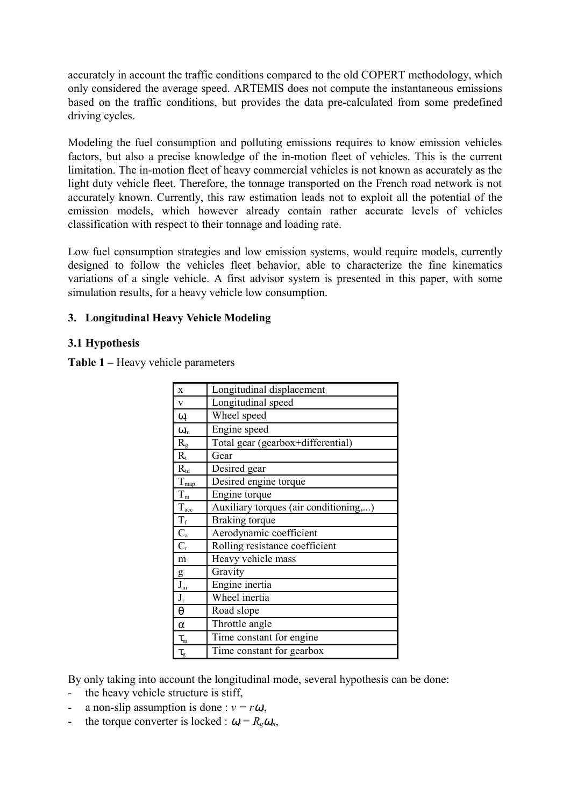accurately in account the traffic conditions compared to the old COPERT methodology, which only considered the average speed. ARTEMIS does not compute the instantaneous emissions based on the traffic conditions, but provides the data pre-calculated from some predefined driving cycles.

Modeling the fuel consumption and polluting emissions requires to know emission vehicles factors, but also a precise knowledge of the in-motion fleet of vehicles. This is the current limitation. The in-motion fleet of heavy commercial vehicles is not known as accurately as the light duty vehicle fleet. Therefore, the tonnage transported on the French road network is not accurately known. Currently, this raw estimation leads not to exploit all the potential of the emission models, which however already contain rather accurate levels of vehicles classification with respect to their tonnage and loading rate.

Low fuel consumption strategies and low emission systems, would require models, currently designed to follow the vehicles fleet behavior, able to characterize the fine kinematics variations of a single vehicle. A first advisor system is presented in this paper, with some simulation results, for a heavy vehicle low consumption.

# **3. Longitudinal Heavy Vehicle Modeling**

### **3.1 Hypothesis**

**Table 1 –** Heavy vehicle parameters

| $\mathbf X$             | Longitudinal displacement             |
|-------------------------|---------------------------------------|
| $\mathbf{V}$            | Longitudinal speed                    |
| $\omega_{\rm r}$        | Wheel speed                           |
| $\omega_{\rm m}$        | Engine speed                          |
| $R_{g}$                 | Total gear (gearbox+differential)     |
| $R_t$                   | Gear                                  |
| $R_{\rm td}$            | Desired gear                          |
| $T_{\frac{map}{}}$      | Desired engine torque                 |
| $T_{\rm m}$             | Engine torque                         |
| $T_{acc}$               | Auxiliary torques (air conditioning,) |
| $\frac{T_f}{C_a}$       | <b>Braking</b> torque                 |
|                         | Aerodynamic coefficient               |
|                         | Rolling resistance coefficient        |
| m                       | Heavy vehicle mass                    |
|                         | Gravity                               |
| $\frac{g}{J_m}$         | Engine inertia                        |
| $\mathbf{J}_\mathrm{r}$ | Wheel inertia                         |
| $\boldsymbol{\theta}$   | Road slope                            |
| $\alpha$                | Throttle angle                        |
| $\tau_{\rm m}$          | Time constant for engine              |
| $\tau_{\rm g}$          | Time constant for gearbox             |

By only taking into account the longitudinal mode, several hypothesis can be done:

- the heavy vehicle structure is stiff,
- a non-slip assumption is done :  $v = r\omega_r$ ,
- the torque converter is locked :  $\omega = R_g \omega_m$ ,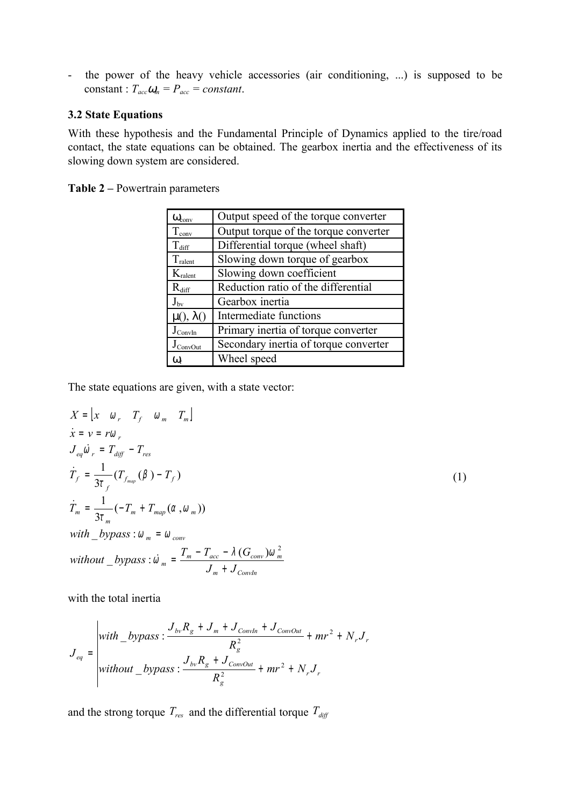- the power of the heavy vehicle accessories (air conditioning, ...) is supposed to be constant :  $T_{acc}\omega_m = P_{acc} = constant$ .

#### **3.2 State Equations**

With these hypothesis and the Fundamental Principle of Dynamics applied to the tire/road contact, the state equations can be obtained. The gearbox inertia and the effectiveness of its slowing down system are considered.

**Table 2 –** Powertrain parameters

| $\omega_{\text{conv}}$ | Output speed of the torque converter  |
|------------------------|---------------------------------------|
| $T_{conv}$             | Output torque of the torque converter |
| $T_{\rm diff}$         | Differential torque (wheel shaft)     |
| $T_{\text{ralent}}$    | Slowing down torque of gearbox        |
| $K_{\text{ralent}}$    | Slowing down coefficient              |
| $R_{diff}$             | Reduction ratio of the differential   |
| $J_{\rm bv}$           | Gearbox inertia                       |
| $\mu$ (), $\lambda$ () | Intermediate functions                |
| $J_{ConvIn}$           | Primary inertia of torque converter   |
| $J_{ConvOut}$          | Secondary inertia of torque converter |
| $\omega_{\rm r}$       | Wheel speed                           |

The state equations are given, with a state vector:

$$
X = \begin{bmatrix} x & 0 \\ r & T_f & 0 \\ m & T_m \end{bmatrix}
$$
  
\n
$$
\dot{x} = v = r\omega_r
$$
  
\n
$$
J_{eq}\dot{\omega}_r = T_{diff} - T_{res}
$$
  
\n
$$
\dot{T}_f = \frac{1}{3\tau_f} (T_{f_{map}} (\beta) - T_f)
$$
  
\n
$$
\dot{T}_m = \frac{1}{3\tau_m} (-T_m + T_{map} (\alpha, \omega_m))
$$
  
\nwith  $\_\text{bypass} : \omega_m = \omega_{conv}$   
\n
$$
\text{without } \_\text{bypass} : \dot{\omega}_m = \frac{T_m - T_{acc} - \lambda (G_{conv})\omega_m^2}{J_m + J_{convIn}}
$$

with the total inertia

$$
J_{eq} = \begin{vmatrix} with\_bypass: \frac{J_{bv}R_g + J_m + J_{ConvOn} + J_{ConvOut}}{R_g^2} + mr^2 + N_r J_r \\ withinout\_bypass: \frac{J_{bv}R_g + J_{ConvOut}}{R_g^2} + mr^2 + N_r J_r \end{vmatrix}
$$

and the strong torque  $T_{res}$  and the differential torque  $T_{diff}$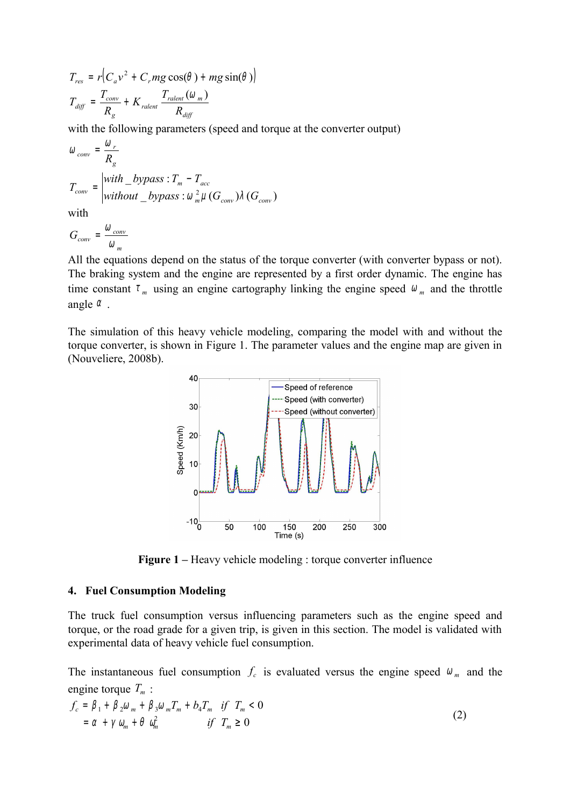$$
T_{res} = r\left(C_a v^2 + C_r mg \cos(\theta) + mg \sin(\theta)\right)
$$
  

$$
T_{diff} = \frac{T_{conv}}{R_g} + K_{ralent} \frac{T_{ralent}(\omega_m)}{R_{diff}}
$$

with the following parameters (speed and torque at the converter output)

$$
\omega_{conv} = \frac{\omega_r}{R_g}
$$
  
\n
$$
T_{conv} = \begin{vmatrix} with\_bypass : T_m - T_{acc} \\ without\_bypass : \omega_m^2 \mu(G_{conv})\lambda(G_{conv}) \end{vmatrix}
$$

with

$$
G_{conv} = \frac{\omega_{conv}}{\omega_m}
$$

All the equations depend on the status of the torque converter (with converter bypass or not). The braking system and the engine are represented by a first order dynamic. The engine has time constant  $\tau_m$  using an engine cartography linking the engine speed  $\omega_m$  and the throttle angle  $\alpha$ .

The simulation of this heavy vehicle modeling, comparing the model with and without the torque converter, is shown in Figure 1. The parameter values and the engine map are given in (Nouveliere, 2008b).



**Figure 1** – Heavy vehicle modeling : torque converter influence

#### **4. Fuel Consumption Modeling**

The truck fuel consumption versus influencing parameters such as the engine speed and torque, or the road grade for a given trip, is given in this section. The model is validated with experimental data of heavy vehicle fuel consumption.

The instantaneous fuel consumption  $f_c$  is evaluated versus the engine speed  $\omega_m$  and the engine torque  $T<sub>m</sub>$ :

$$
f_c = \beta_1 + \beta_2 \omega_m + \beta_3 \omega_m T_m + b_4 T_m \quad \text{if} \quad T_m < 0
$$
\n
$$
= \alpha + \gamma \omega_m + \theta \omega_m^2 \qquad \qquad \text{if} \quad T_m \ge 0
$$
\n
$$
\tag{2}
$$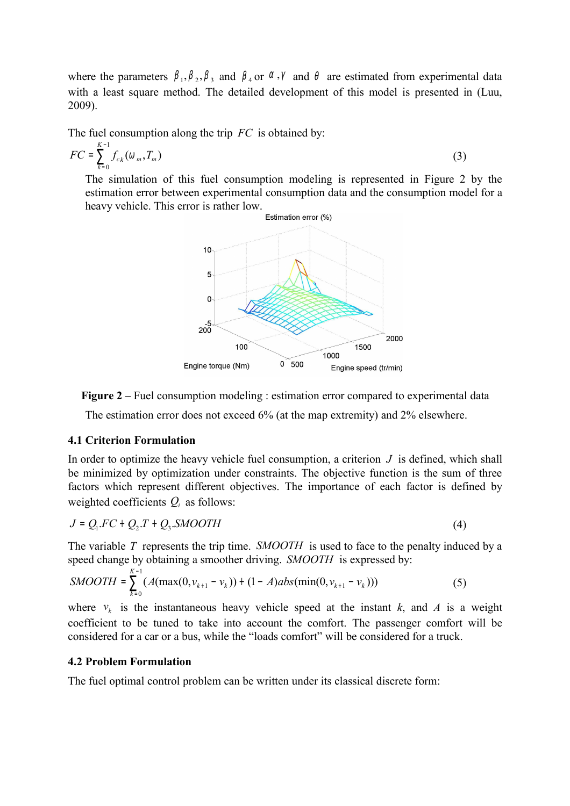where the parameters  $\beta_1, \beta_2, \beta_3$  and  $\beta_4$  or  $\alpha, \gamma$  and  $\theta$  are estimated from experimental data with a least square method. The detailed development of this model is presented in (Luu, 2009).

The fuel consumption along the trip *FC* is obtained by:

$$
FC = \sum_{k=0}^{K-1} f_{c_k}(\omega_m, T_m)
$$
 (3)

The simulation of this fuel consumption modeling is represented in Figure 2 by the estimation error between experimental consumption data and the consumption model for a heavy vehicle. This error is rather low.



**Figure 2** – Fuel consumption modeling : estimation error compared to experimental data

The estimation error does not exceed 6% (at the map extremity) and 2% elsewhere.

### **4.1 Criterion Formulation**

In order to optimize the heavy vehicle fuel consumption, a criterion  $J$  is defined, which shall be minimized by optimization under constraints. The objective function is the sum of three factors which represent different objectives. The importance of each factor is defined by weighted coefficients  $Q_i$  as follows:

$$
J = Q_1 F C + Q_2 T + Q_3 \text{SMOOTH} \tag{4}
$$

The variable *T* represents the trip time. *SMOOTH* is used to face to the penalty induced by a speed change by obtaining a smoother driving. *SMOOTH* is expressed by:

$$
SMOOTH = \sum_{k=0}^{K-1} (A(max(0, v_{k+1} - v_k)) + (1 - A)abs(min(0, v_{k+1} - v_k)))
$$
\n(5)

where  $v_k$  is the instantaneous heavy vehicle speed at the instant  $k$ , and  $A$  is a weight coefficient to be tuned to take into account the comfort. The passenger comfort will be considered for a car or a bus, while the "loads comfort" will be considered for a truck.

#### **4.2 Problem Formulation**

The fuel optimal control problem can be written under its classical discrete form: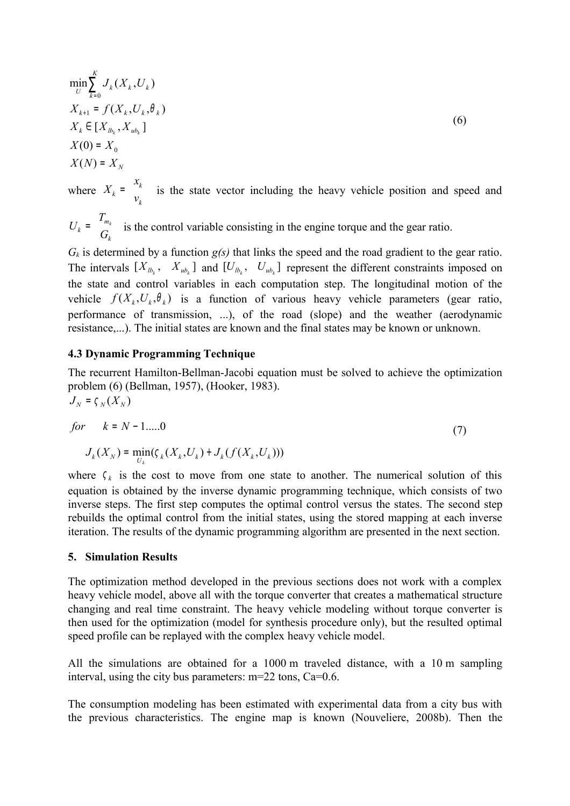$$
\min_{U} \sum_{k=0}^{K} J_{k}(X_{k}, U_{k})
$$
\n
$$
X_{k+1} = f(X_{k}, U_{k}, \theta_{k})
$$
\n
$$
X_{k} \in [X_{lb_{k}}, X_{ub_{k}}]
$$
\n
$$
X(0) = X_{0}
$$
\n
$$
X(N) = X_{N}
$$
\nwhere  $X_{k} = \begin{bmatrix} x_{k} \\ v_{k} \end{bmatrix}$  is the state vector including the heavy vehicle position and speed and

 $\mathbf{I}$ J  $\overline{1}$  $\mathbf{r}$ L  $\mathsf{L}$ = *k m*  $k$   $\overline{\phantom{a}}$   $\overline{\phantom{a}}$   $\overline{\phantom{a}}$   $G$ *T*  $U_k = \begin{bmatrix} 1-m_k \\ C \end{bmatrix}$  is the control variable consisting in the engine torque and the gear ratio.

 $G_k$  is determined by a function  $g(s)$  that links the speed and the road gradient to the gear ratio. The intervals  $[X_{b_k}, X_{ub_k}]$  and  $[U_{b_k}, U_{ub_k}]$  represent the different constraints imposed on the state and control variables in each computation step. The longitudinal motion of the vehicle  $f(X_k, U_k, \theta_k)$  is a function of various heavy vehicle parameters (gear ratio, performance of transmission, ...), of the road (slope) and the weather (aerodynamic resistance,...). The initial states are known and the final states may be known or unknown.

### **4.3 Dynamic Programming Technique**

The recurrent Hamilton-Bellman-Jacobi equation must be solved to achieve the optimization problem (6) (Bellman, 1957), (Hooker, 1983).  $J_N$  =  $\zeta_N(X_N)$ 

for 
$$
k = N - 1
$$
.....0  

$$
J_k(X_N) = \min_{U_k} (\zeta_k(X_k, U_k) + J_k(f(X_k, U_k)))
$$
(7)

where  $\zeta_k$  is the cost to move from one state to another. The numerical solution of this equation is obtained by the inverse dynamic programming technique, which consists of two inverse steps. The first step computes the optimal control versus the states. The second step rebuilds the optimal control from the initial states, using the stored mapping at each inverse iteration. The results of the dynamic programming algorithm are presented in the next section.

#### **5. Simulation Results**

The optimization method developed in the previous sections does not work with a complex heavy vehicle model, above all with the torque converter that creates a mathematical structure changing and real time constraint. The heavy vehicle modeling without torque converter is then used for the optimization (model for synthesis procedure only), but the resulted optimal speed profile can be replayed with the complex heavy vehicle model.

All the simulations are obtained for a 1000 m traveled distance, with a 10 m sampling interval, using the city bus parameters:  $m=22$  tons,  $Ca=0.6$ .

The consumption modeling has been estimated with experimental data from a city bus with the previous characteristics. The engine map is known (Nouveliere, 2008b). Then the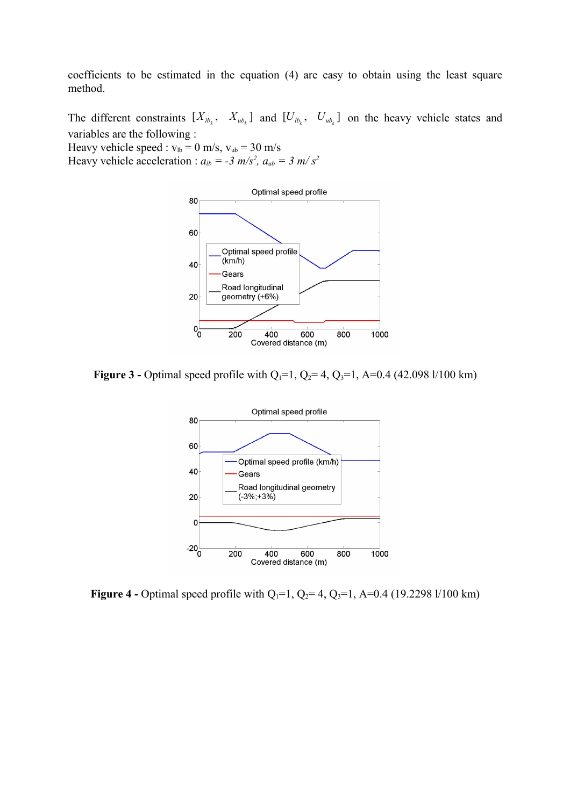coefficients to be estimated in the equation (4) are easy to obtain using the least square method.

The different constraints  $[X_{lb_k}, X_{ub_k}]$  and  $[U_{lb_k}, U_{ub_k}]$  on the heavy vehicle states and variables are the following : Heavy vehicle speed :  $v_{lb} = 0$  m/s,  $v_{ub} = 30$  m/s

Heavy vehicle acceleration :  $a_{lb} = -3$  m/s<sup>2</sup>,  $a_{ub} = 3$  m/s<sup>2</sup>



**Figure 3 -** Optimal speed profile with  $Q_1=1$ ,  $Q_2=4$ ,  $Q_3=1$ , A=0.4 (42.098 l/100 km)



**Figure 4 -** Optimal speed profile with  $Q_1=1$ ,  $Q_2=4$ ,  $Q_3=1$ , A=0.4 (19.2298 l/100 km)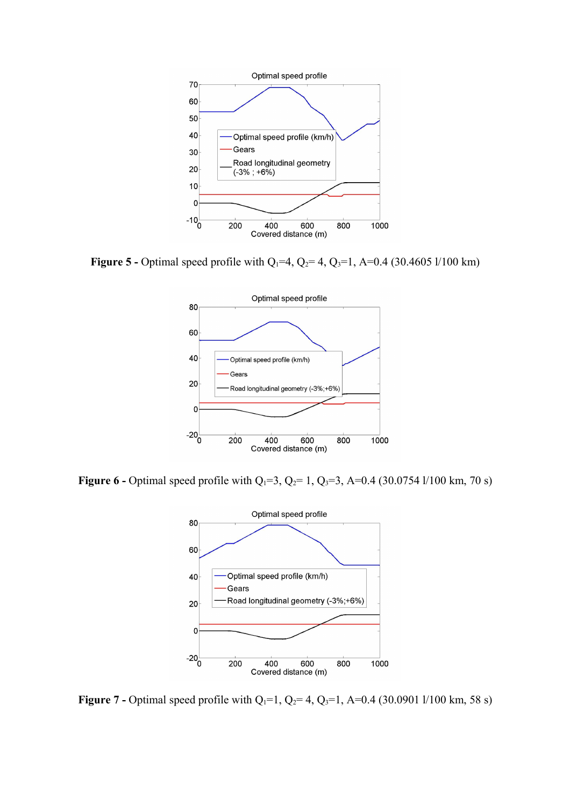

**Figure 5 -** Optimal speed profile with  $Q_1=4$ ,  $Q_2=4$ ,  $Q_3=1$ , A=0.4 (30.4605 l/100 km)



**Figure 6 -** Optimal speed profile with  $Q_1=3$ ,  $Q_2=1$ ,  $Q_3=3$ , A=0.4 (30.0754 l/100 km, 70 s)



**Figure 7 -** Optimal speed profile with  $Q_1=1$ ,  $Q_2=4$ ,  $Q_3=1$ , A=0.4 (30.0901 l/100 km, 58 s)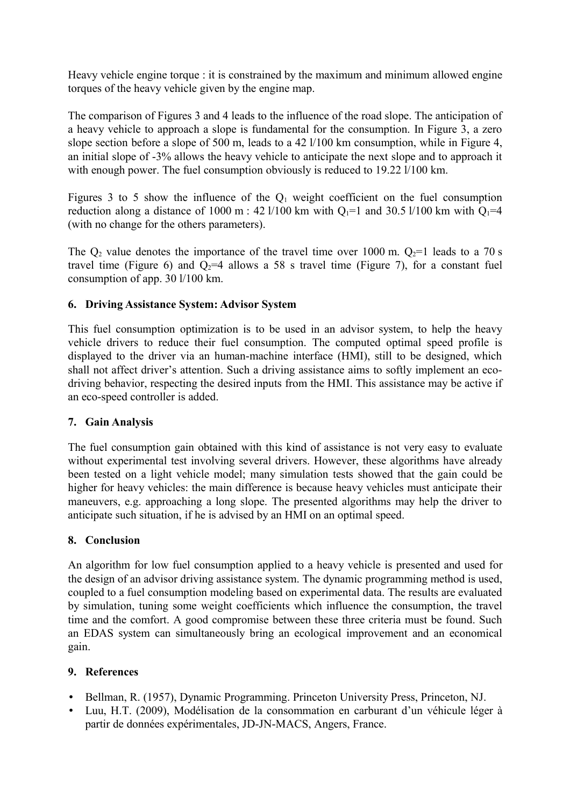Heavy vehicle engine torque : it is constrained by the maximum and minimum allowed engine torques of the heavy vehicle given by the engine map.

The comparison of Figures 3 and 4 leads to the influence of the road slope. The anticipation of a heavy vehicle to approach a slope is fundamental for the consumption. In Figure 3, a zero slope section before a slope of 500 m, leads to a 42  $1/100$  km consumption, while in Figure 4, an initial slope of -3% allows the heavy vehicle to anticipate the next slope and to approach it with enough power. The fuel consumption obviously is reduced to 19.22 l/100 km.

Figures 3 to 5 show the influence of the  $Q_1$  weight coefficient on the fuel consumption reduction along a distance of 1000 m : 42 l/100 km with  $Q_1=1$  and 30.5 l/100 km with  $Q_1=4$ (with no change for the others parameters).

The  $Q_2$  value denotes the importance of the travel time over 1000 m.  $Q_2=1$  leads to a 70 s travel time (Figure 6) and  $Q_2=4$  allows a 58 s travel time (Figure 7), for a constant fuel consumption of app. 30 l/100 km.

### **6. Driving Assistance System: Advisor System**

This fuel consumption optimization is to be used in an advisor system, to help the heavy vehicle drivers to reduce their fuel consumption. The computed optimal speed profile is displayed to the driver via an human-machine interface (HMI), still to be designed, which shall not affect driver's attention. Such a driving assistance aims to softly implement an ecodriving behavior, respecting the desired inputs from the HMI. This assistance may be active if an eco-speed controller is added.

### **7. Gain Analysis**

The fuel consumption gain obtained with this kind of assistance is not very easy to evaluate without experimental test involving several drivers. However, these algorithms have already been tested on a light vehicle model; many simulation tests showed that the gain could be higher for heavy vehicles: the main difference is because heavy vehicles must anticipate their maneuvers, e.g. approaching a long slope. The presented algorithms may help the driver to anticipate such situation, if he is advised by an HMI on an optimal speed.

### **8. Conclusion**

An algorithm for low fuel consumption applied to a heavy vehicle is presented and used for the design of an advisor driving assistance system. The dynamic programming method is used, coupled to a fuel consumption modeling based on experimental data. The results are evaluated by simulation, tuning some weight coefficients which influence the consumption, the travel time and the comfort. A good compromise between these three criteria must be found. Such an EDAS system can simultaneously bring an ecological improvement and an economical gain.

### **9. References**

- Bellman, R. (1957), Dynamic Programming. Princeton University Press, Princeton, NJ.
- Luu, H.T. (2009), Modélisation de la consommation en carburant d'un véhicule léger à partir de données expérimentales, JD-JN-MACS, Angers, France.